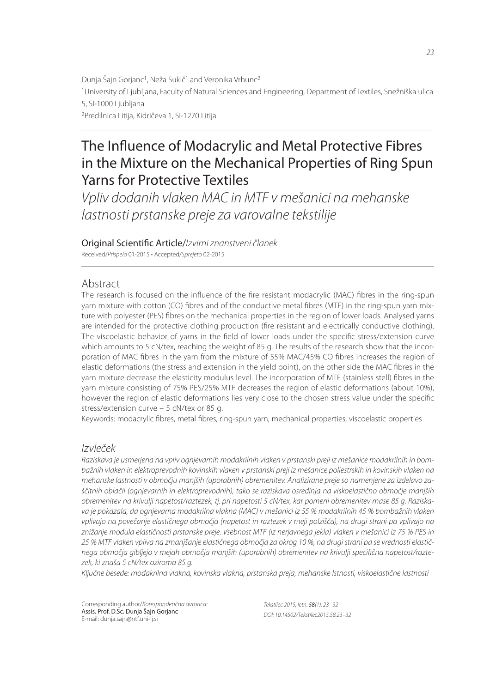Dunja Šajn Gorjanc<sup>1</sup>, Neža Sukič<sup>1</sup> and Veronika Vrhunc<sup>2</sup> <sup>1</sup>University of Ljubljana, Faculty of Natural Sciences and Engineering, Department of Textiles, Snežniška ulica 5, SI-1000 Ljubljana <sup>2</sup>Predilnica Litija, Kidričeva 1, SI-1270 Litija

# The Influence of Modacrylic and Metal Protective Fibres in the Mixture on the Mechanical Properties of Ring Spun Yarns for Protective Textiles

*Vpliv dodanih vlaken MAC in MTF v mešanici na mehanske lastnosti prstanske preje za varovalne tekstilije*

Original Scienti" c Article/*Izvirni znanstveni članek*

Received/*Prispelo* 01-2015 • Accepted/*Sprejeto* 02-2015

# Abstract

The research is focused on the influence of the fire resistant modacrylic (MAC) fibres in the ring-spun yarn mixture with cotton (CO) fibres and of the conductive metal fibres (MTF) in the ring-spun yarn mixture with polyester (PES) fibres on the mechanical properties in the region of lower loads. Analysed yarns are intended for the protective clothing production (fire resistant and electrically conductive clothing). The viscoelastic behavior of yarns in the field of lower loads under the specific stress/extension curve which amounts to 5 cN/tex, reaching the weight of 85 g. The results of the research show that the incorporation of MAC fibres in the yarn from the mixture of 55% MAC/45% CO fibres increases the region of elastic deformations (the stress and extension in the yield point), on the other side the MAC fibres in the yarn mixture decrease the elasticity modulus level. The incorporation of MTF (stainless stell) fibres in the yarn mixture consisting of 75% PES/25% MTF decreases the region of elastic deformations (about 10%), however the region of elastic deformations lies very close to the chosen stress value under the specific stress/extension curve – 5 cN/tex or 85 g.

Keywords: modacrylic fibres, metal fibres, ring-spun yarn, mechanical properties, viscoelastic properties

## *Izvleček*

*Raziskava je usmerjena na vpliv ognjevarnih modakrilnih vlaken v prstanski preji iz mešanice modakrilnih in bombažnih vlaken in elektroprevodnih kovinskih vlaken v prstanski preji iz mešanice poliestrskih in kovinskih vlaken na mehanske lastnosti v območju manjših (uporabnih) obremenitev. Analizirane preje so namenjene za izdelavo zaščitnih oblačil (ognjevarnih in elektroprevodnih), tako se raziskava osredinja na viskoelastično območje manjših obremenitev na krivulji napetost/raztezek, tj. pri napetosti 5 cN/tex, kar pomeni obremenitev mase 85 g. Raziskava je pokazala, da ognjevarna modakrilna vlakna (MAC) v mešanici iz 55 % modakrilnih 45 % bombažnih vlaken vplivajo na povečanje elastičnega območja (napetost in raztezek v meji polzišča), na drugi strani pa vplivajo na znižanje modula elastičnosti prstanske preje. Vsebnost MTF (iz nerjavnega jekla) vlaken v mešanici iz 75 % PES in 25 % MTF vlaken vpliva na zmanjšanje elastičnega območja za okrog 10 %, na drugi strani pa se vrednosti elastičnega območja gibljejo v mejah območja manjših (uporabnih) obremenitev na krivulji specifi čna napetost/raztezek, ki znaša 5 cN/tex oziroma 85 g.*

*Ključne besede: modakrilna vlakna, kovinska vlakna, prstanska preja, mehanske lstnosti, viskoelastične lastnosti*

Corresponding author/*Korespondenčna avtorica:* Assis. Prof. D.Sc. Dunja Šajn Gorjanc E-mail: dunja.sajn@ntf.uni-lj.si

*Tekstilec 2015, letn.* 58*(1), 23−32 DOI: 10.14502/Tekstilec2015.58.23–32*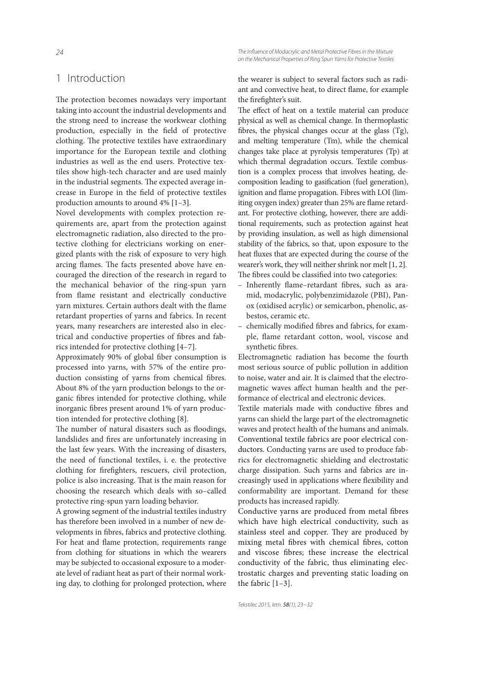#### *The Infl uence of Modacrylic and Metal Protective Fibres in the Mixture on the Mechanical Properties of Ring Spun Yarns for Protective Textiles*

## 1 Introduction

The protection becomes nowadays very important taking into account the industrial developments and the strong need to increase the workwear clothing production, especially in the field of protective clothing. The protective textiles have extraordinary importance for the European textile and clothing industries as well as the end users. Protective textiles show high-tech character and are used mainly in the industrial segments. The expected average increase in Europe in the field of protective textiles production amounts to around 4% [1–3].

Novel developments with complex protection requirements are, apart from the protection against electromagnetic radiation, also directed to the protective clothing for electricians working on energized plants with the risk of exposure to very high arcing flames. The facts presented above have encouraged the direction of the research in regard to the mechanical behavior of the ring-spun yarn from flame resistant and electrically conductive yarn mixtures. Certain authors dealt with the flame retardant properties of yarns and fabrics. In recent years, many researchers are interested also in electrical and conductive properties of fibres and fabrics intended for protective clothing [4–7].

Approximately 90% of global fiber consumption is processed into yarns, with 57% of the entire production consisting of yarns from chemical fibres. About 8% of the yarn production belongs to the organic fibres intended for protective clothing, while inorganic fibres present around 1% of yarn production intended for protective clothing [8].

The number of natural disasters such as floodings, landslides and fires are unfortunately increasing in the last few years. With the increasing of disasters, the need of functional textiles, i. e. the protective clothing for firefighters, rescuers, civil protection, police is also increasing. That is the main reason for choosing the research which deals with so–called protective ring-spun yarn loading behavior.

A growing segment of the industrial textiles industry has therefore been involved in a number of new developments in fibres, fabrics and protective clothing. For heat and flame protection, requirements range from clothing for situations in which the wearers may be subjected to occasional exposure to a moderate level of radiant heat as part of their normal working day, to clothing for prolonged protection, where the wearer is subject to several factors such as radiant and convective heat, to direct flame, for example the firefighter's suit.

The effect of heat on a textile material can produce physical as well as chemical change. In thermoplastic bres, the physical changes occur at the glass (Tg), and melting temperature (Tm), while the chemical changes take place at pyrolysis temperatures (Tp) at which thermal degradation occurs. Textile combustion is a complex process that involves heating, decomposition leading to gasification (fuel generation), ignition and flame propagation. Fibres with LOI (limiting oxygen index) greater than 25% are flame retardant. For protective clothing, however, there are additional requirements, such as protection against heat by providing insulation, as well as high dimensional stability of the fabrics, so that, upon exposure to the heat fluxes that are expected during the course of the wearer's work, they will neither shrink nor melt [1, 2]. The fibres could be classified into two categories:

- Inherently flame-retardant fibres, such as aramid, modacrylic, polybenzimidazole (PBI), Panox (oxidised acrylic) or semicarbon, phenolic, asbestos, ceramic etc.
- chemically modified fibres and fabrics, for example, flame retardant cotton, wool, viscose and synthetic fibres.

Electromagnetic radiation has become the fourth most serious source of public pollution in addition to noise, water and air. It is claimed that the electromagnetic waves affect human health and the performance of electrical and electronic devices.

Textile materials made with conductive fibres and yarns can shield the large part of the electromagnetic waves and protect health of the humans and animals. Conventional textile fabrics are poor electrical conductors. Conducting yarns are used to produce fabrics for electromagnetic shielding and electrostatic charge dissipation. Such yarns and fabrics are increasingly used in applications where flexibility and conformability are important. Demand for these products has increased rapidly.

Conductive yarns are produced from metal fibres which have high electrical conductivity, such as stainless steel and copper. They are produced by mixing metal fibres with chemical fibres, cotton and viscose fibres; these increase the electrical conductivity of the fabric, thus eliminating electrostatic charges and preventing static loading on the fabric [1–3].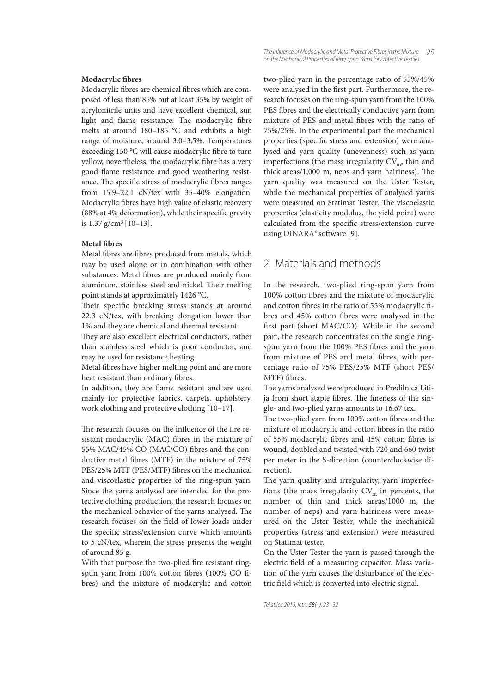#### **Modacrylic fibres**

Modacrylic fibres are chemical fibres which are composed of less than 85% but at least 35% by weight of acrylonitrile units and have excellent chemical, sun light and flame resistance. The modacrylic fibre melts at around 180–185 °C and exhibits a high range of moisture, around 3.0–3.5%. Temperatures exceeding 150 °C will cause modacrylic fibre to turn yellow, nevertheless, the modacrylic fibre has a very good flame resistance and good weathering resistance. The specific stress of modacrylic fibres ranges from 15.9–22.1 cN/tex with 35–40% elongation. Modacrylic fibres have high value of elastic recovery  $(88%$  at 4% deformation), while their specific gravity is 1.37 g/cm<sup>3</sup>[10–13].

#### **Metal bres**

Metal fibres are fibres produced from metals, which may be used alone or in combination with other substances. Metal fibres are produced mainly from aluminum, stainless steel and nickel. Their melting point stands at approximately 1426 °C.

Their specific breaking stress stands at around 22.3 cN/tex, with breaking elongation lower than 1% and they are chemical and thermal resistant.

They are also excellent electrical conductors, rather than stainless steel which is poor conductor, and may be used for resistance heating.

Metal fibres have higher melting point and are more heat resistant than ordinary fibres.

In addition, they are flame resistant and are used mainly for protective fabrics, carpets, upholstery, work clothing and protective clothing [10–17].

The research focuses on the influence of the fire resistant modacrylic (MAC) fibres in the mixture of 55% MAC/45% CO (MAC/CO) fibres and the conductive metal fibres  $(MTF)$  in the mixture of 75% PES/25% MTF (PES/MTF) fibres on the mechanical and viscoelastic properties of the ring-spun yarn. Since the yarns analysed are intended for the protective clothing production, the research focuses on the mechanical behavior of the yarns analysed. The research focuses on the field of lower loads under the specific stress/extension curve which amounts to 5 cN/tex, wherein the stress presents the weight of around 85 g.

With that purpose the two-plied fire resistant ringspun yarn from 100% cotton fibres (100% CO fibres) and the mixture of modacrylic and cotton two-plied yarn in the percentage ratio of 55%/45% were analysed in the first part. Furthermore, the research focuses on the ring-spun yarn from the 100% PES fibres and the electrically conductive yarn from mixture of PES and metal fibres with the ratio of 75%/25%. In the experimental part the mechanical properties (specific stress and extension) were analysed and yarn quality (unevenness) such as yarn imperfections (the mass irregularity  $CV<sub>m</sub>$ , thin and thick  $\arccos/1,000$  m, neps and yarn hairiness). The yarn quality was measured on the Uster Tester, while the mechanical properties of analysed yarns were measured on Statimat Tester. The viscoelastic properties (elasticity modulus, the yield point) were calculated from the specific stress/extension curve using DINARA® software [9].

## 2 Materials and methods

In the research, two-plied ring-spun yarn from 100% cotton fibres and the mixture of modacrylic and cotton fibres in the ratio of 55% modacrylic fibres and 45% cotton fibres were analysed in the first part (short MAC/CO). While in the second part, the research concentrates on the single ringspun yarn from the 100% PES fibres and the yarn from mixture of PES and metal fibres, with percentage ratio of 75% PES/25% MTF (short PES/ MTF) fibres.

The yarns analysed were produced in Predilnica Litija from short staple fibres. The fineness of the single- and two-plied yarns amounts to 16.67 tex.

The two-plied yarn from 100% cotton fibres and the mixture of modacrylic and cotton fibres in the ratio of 55% modacrylic fibres and 45% cotton fibres is wound, doubled and twisted with 720 and 660 twist per meter in the S-direction (counterclockwise direction).

The yarn quality and irregularity, yarn imperfections (the mass irregularity  $CV<sub>m</sub>$  in percents, the number of thin and thick areas/1000 m, the number of neps) and yarn hairiness were measured on the Uster Tester, while the mechanical properties (stress and extension) were measured on Statimat tester.

On the Uster Tester the yarn is passed through the electric field of a measuring capacitor. Mass variation of the yarn causes the disturbance of the electric field which is converted into electric signal.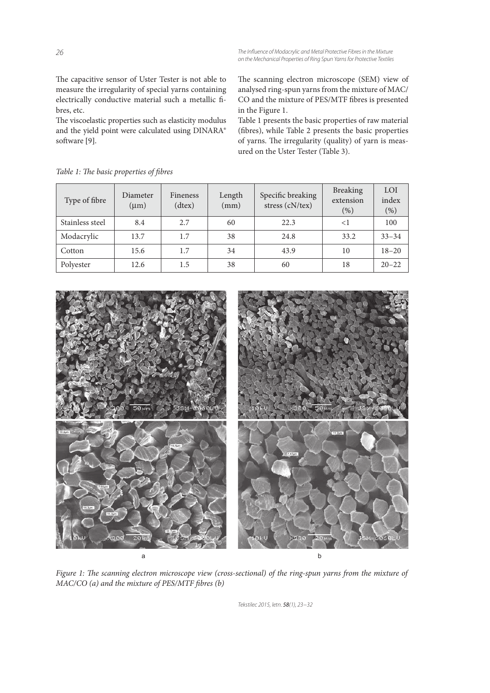*The Infl uence of Modacrylic and Metal Protective Fibres in the Mixture on the Mechanical Properties of Ring Spun Yarns for Protective Textiles*

The capacitive sensor of Uster Tester is not able to measure the irregularity of special yarns containing electrically conductive material such a metallic fibres, etc.

The viscoelastic properties such as elasticity modulus and the yield point were calculated using DINARA® software [9].

The scanning electron microscope (SEM) view of analysed ring-spun yarns from the mixture of MAC/ CO and the mixture of PES/MTF fibres is presented in the Figure 1.

Table 1 presents the basic properties of raw material (fibres), while Table 2 presents the basic properties of yarns. The irregularity (quality) of yarn is measured on the Uster Tester (Table 3).

| Type of fibre   | Diameter<br>$(\mu m)$ | Fineness<br>(dtex) | Length<br>(mm) | Specific breaking<br>stress (cN/tex) | <b>Breaking</b><br>extension<br>$(\%)$ | LOI<br>index<br>(% ) |
|-----------------|-----------------------|--------------------|----------------|--------------------------------------|----------------------------------------|----------------------|
| Stainless steel | 8.4                   | 2.7                | 60             | 22.3                                 | $\leq$ 1                               | 100                  |
| Modacrylic      | 13.7                  | 1.7                | 38             | 24.8                                 | 33.2                                   | $33 - 34$            |
| Cotton          | 15.6                  | 1.7                | 34             | 43.9                                 | 10                                     | $18 - 20$            |
| Polyester       | 12.6                  | 1.5                | 38             | 60                                   | 18                                     | $20 - 22$            |

Table 1: The basic properties of fibres



Figure 1: The scanning electron microscope view (cross-sectional) of the ring-spun yarns from the mixture of  $MAC/CO$  (a) and the mixture of PES/MTF fibres (b)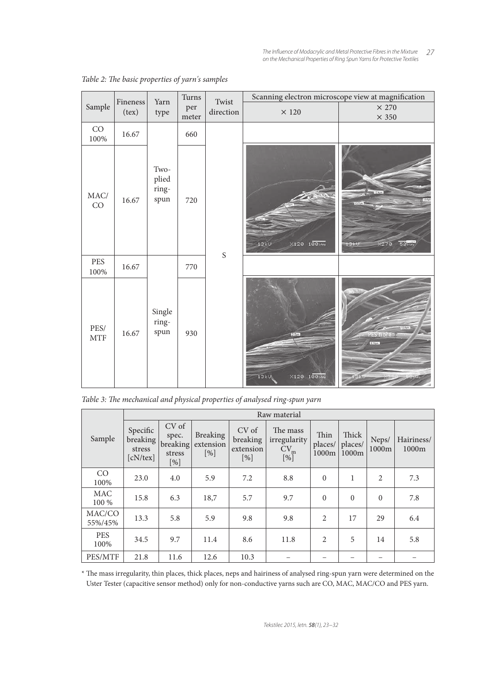*27 The Infl uence of Modacrylic and Metal Protective Fibres in the Mixture on the Mechanical Properties of Ring Spun Yarns for Protective Textiles*

|                          |                    | Yarn                           | Turns | Twist       | Scanning electron microscope view at magnification |                                                       |  |
|--------------------------|--------------------|--------------------------------|-------|-------------|----------------------------------------------------|-------------------------------------------------------|--|
| Sample                   | Fineness<br>(text) | type                           | per   | direction   | $\times$ 120                                       | $\times$ 270                                          |  |
|                          |                    |                                | meter |             |                                                    | $\times$ 350                                          |  |
| $\rm CO$<br>$100\%$      | 16.67              |                                | 660   |             |                                                    |                                                       |  |
| $\rm MAC/$<br>${\rm CO}$ | 16.67              | Two-<br>plied<br>ring-<br>spun | 720   |             | $×120$ $100 \mu m$<br>13KU                         | 12.4pm<br>56 <sub>mm</sub><br>$\times$ z $70$<br>13kV |  |
| PES<br>$100\%$           | 16.67              |                                | 770   | $\mathbf S$ |                                                    |                                                       |  |
| PES/<br><b>MTF</b>       | 16.67              | Single<br>ring-<br>spun        | 930   |             | 112m<br>$×120$ $100 \mu m$<br>13kV                 | 12.641<br><b>PES fibre</b><br><b>A</b> then           |  |

Table 2: The basic properties of yarn's samples

Table 3: The mechanical and physical properties of analysed ring-spun yarn

|                     | Raw material                               |                                             |                                        |                                       |                                                    |                          |                           |                |                     |  |
|---------------------|--------------------------------------------|---------------------------------------------|----------------------------------------|---------------------------------------|----------------------------------------------------|--------------------------|---------------------------|----------------|---------------------|--|
| Sample              | Specific<br>breaking<br>stress<br>[cN/tex] | CV of<br>spec.<br>breaking<br>stress<br>[%] | <b>Breaking</b><br>extension<br>$[\%]$ | CV of<br>breaking<br>extension<br>[%] | The mass<br>irregularity<br>CV <sub>m</sub><br>[%] | Thin<br>places/<br>1000m | Thick<br>places/<br>1000m | Neps/<br>1000m | Hairiness/<br>1000m |  |
| CO<br>100%          | 23.0                                       | 4.0                                         | 5.9                                    | 7.2                                   | 8.8                                                | $\theta$                 | 1                         | 2              | 7.3                 |  |
| <b>MAC</b><br>100 % | 15.8                                       | 6.3                                         | 18,7                                   | 5.7                                   | 9.7                                                | $\mathbf{0}$             | $\mathbf{0}$              | $\theta$       | 7.8                 |  |
| MAC/CO<br>55%/45%   | 13.3                                       | 5.8                                         | 5.9                                    | 9.8                                   | 9.8                                                | $\overline{2}$           | 17                        | 29             | 6.4                 |  |
| <b>PES</b><br>100%  | 34.5                                       | 9.7                                         | 11.4                                   | 8.6                                   | 11.8                                               | $\overline{2}$           | 5                         | 14             | 5.8                 |  |
| PES/MTF             | 21.8                                       | 11.6                                        | 12.6                                   | 10.3                                  |                                                    |                          |                           |                |                     |  |

\* The mass irregularity, thin places, thick places, neps and hairiness of analysed ring-spun yarn were determined on the Uster Tester (capacitive sensor method) only for non-conductive yarns such are CO, MAC, MAC/CO and PES yarn.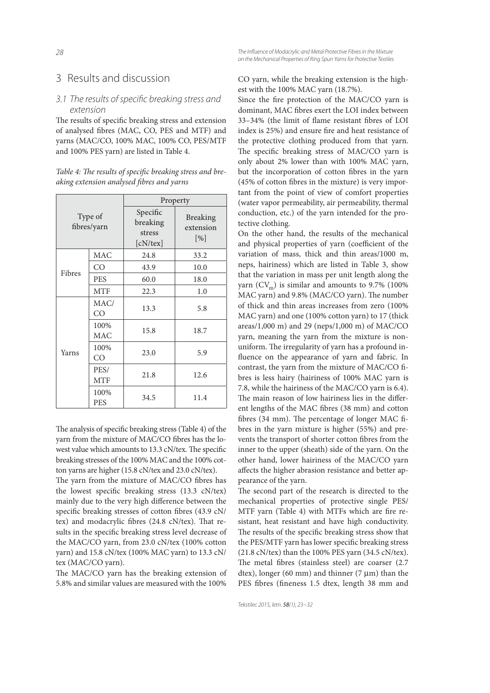## 3 Results and discussion

#### 3.1 The results of specific breaking stress and *extension*

The results of specific breaking stress and extension of analysed fibres (MAC, CO, PES and MTF) and yarns (MAC/CO, 100% MAC, 100% CO, PES/MTF and 100% PES yarn) are listed in Table 4.

Table 4: The results of specific breaking stress and breaking extension analysed fibres and yarns

| Type of<br>fibres/yarn |                    | Property                                   |                                     |  |  |
|------------------------|--------------------|--------------------------------------------|-------------------------------------|--|--|
|                        |                    | Specific<br>breaking<br>stress<br>[cN/tex] | <b>Breaking</b><br>extension<br>[%] |  |  |
| Fibres                 | <b>MAC</b>         | 24.8                                       | 33.2                                |  |  |
|                        | CO                 | 43.9                                       | 10.0                                |  |  |
|                        | <b>PES</b>         | 60.0                                       | 18.0                                |  |  |
|                        | <b>MTF</b>         | 22.3                                       | 1.0                                 |  |  |
| Yarns                  | MAC/<br>CO         | 13.3                                       | 5.8                                 |  |  |
|                        | 100%<br><b>MAC</b> | 15.8                                       | 18.7                                |  |  |
|                        | 100%<br>CO         | 23.0                                       | 5.9                                 |  |  |
|                        | PES/<br><b>MTF</b> | 21.8                                       | 12.6                                |  |  |
|                        | 100%<br><b>PES</b> | 34.5                                       | 11.4                                |  |  |

The analysis of specific breaking stress (Table 4) of the varn from the mixture of MAC/CO fibres has the lowest value which amounts to 13.3 cN/tex. The specific breaking stresses of the 100% MAC and the 100% cotton yarns are higher (15.8 cN/tex and 23.0 cN/tex).

The yarn from the mixture of MAC/CO fibres has the lowest specific breaking stress  $(13.3 \text{ cN/tex})$ mainly due to the very high difference between the specific breaking stresses of cotton fibres (43.9 cN/ tex) and modacrylic fibres (24.8 cN/tex). That results in the specific breaking stress level decrease of the MAC/CO yarn, from 23.0 cN/tex (100% cotton yarn) and 15.8 cN/tex (100% MAC yarn) to 13.3 cN/ tex (MAC/CO yarn).

The MAC/CO yarn has the breaking extension of 5.8% and similar values are measured with the 100%

*The Infl uence of Modacrylic and Metal Protective Fibres in the Mixture on the Mechanical Properties of Ring Spun Yarns for Protective Textiles*

CO yarn, while the breaking extension is the highest with the 100% MAC yarn (18.7%).

Since the fire protection of the MAC/CO yarn is dominant, MAC fibres exert the LOI index between 33-34% (the limit of flame resistant fibres of LOI index is 25%) and ensure fire and heat resistance of the protective clothing produced from that yarn. The specific breaking stress of MAC/CO yarn is only about 2% lower than with 100% MAC yarn, but the incorporation of cotton fibres in the yarn  $(45%$  of cotton fibres in the mixture) is very important from the point of view of comfort properties (water vapor permeability, air permeability, thermal conduction, etc.) of the yarn intended for the protective clothing.

On the other hand, the results of the mechanical and physical properties of yarn (coefficient of the variation of mass, thick and thin areas/1000 m, neps, hairiness) which are listed in Table 3, show that the variation in mass per unit length along the yarn  $(CV_m)$  is similar and amounts to 9.7% (100%) MAC yarn) and 9.8% (MAC/CO yarn). The number of thick and thin areas increases from zero (100% MAC yarn) and one (100% cotton yarn) to 17 (thick areas/1,000 m) and 29 (neps/1,000 m) of MAC/CO yarn, meaning the yarn from the mixture is nonuniform. The irregularity of yarn has a profound influence on the appearance of yarn and fabric. In contrast, the yarn from the mixture of MAC/CO fibres is less hairy (hairiness of 100% MAC yarn is 7.8, while the hairiness of the MAC/CO yarn is 6.4). The main reason of low hairiness lies in the different lengths of the MAC fibres (38 mm) and cotton fibres (34 mm). The percentage of longer MAC fibres in the yarn mixture is higher (55%) and prevents the transport of shorter cotton fibres from the inner to the upper (sheath) side of the yarn. On the other hand, lower hairiness of the MAC/CO yarn affects the higher abrasion resistance and better appearance of the yarn.

The second part of the research is directed to the mechanical properties of protective single PES/ MTF yarn (Table 4) with MTFs which are fire resistant, heat resistant and have high conductivity. The results of the specific breaking stress show that the PES/MTF yarn has lower specific breaking stress (21.8 cN/tex) than the 100% PES yarn (34.5 cN/tex). The metal fibres (stainless steel) are coarser (2.7) dtex), longer (60 mm) and thinner (7  $\mu$ m) than the PES fibres (fineness 1.5 dtex, length 38 mm and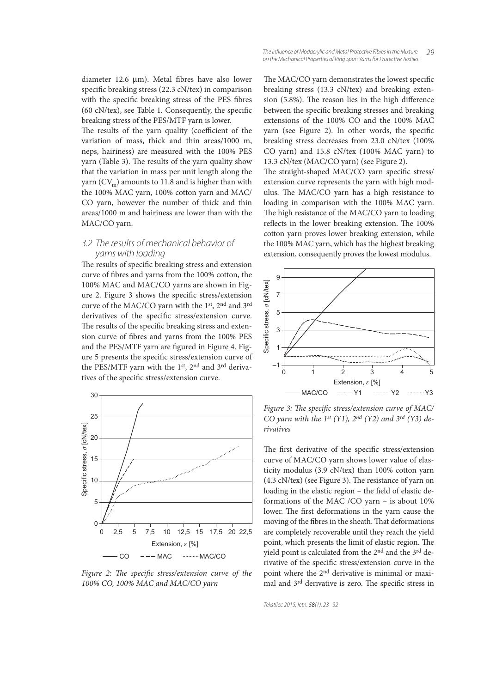The results of the yarn quality (coefficient of the variation of mass, thick and thin areas/1000 m, neps, hairiness) are measured with the 100% PES yarn (Table 3). The results of the yarn quality show that the variation in mass per unit length along the yarn  $(CV_m)$  amounts to 11.8 and is higher than with the 100% MAC yarn, 100% cotton yarn and MAC/ CO yarn, however the number of thick and thin areas/1000 m and hairiness are lower than with the MAC/CO yarn.

### *3.2 The results of mechanical behavior of yarns with loading*

The results of specific breaking stress and extension curve of fibres and yarns from the 100% cotton, the 100% MAC and MAC/CO yarns are shown in Figure 2. Figure 3 shows the specific stress/extension curve of the MAC/CO yarn with the 1st, 2nd and 3rd derivatives of the specific stress/extension curve. The results of the specific breaking stress and extension curve of fibres and yarns from the 100% PES and the PES/MTF yarn are figured in Figure 4. Figure 5 presents the specific stress/extension curve of the PES/MTF yarn with the 1st, 2nd and 3rd derivatives of the specific stress/extension curve.



Figure 2: The specific stress/extension curve of the 100% CO, 100% MAC and MAC/CO yarn

The MAC/CO yarn demonstrates the lowest specific breaking stress (13.3 cN/tex) and breaking extension  $(5.8\%)$ . The reason lies in the high difference between the specific breaking stresses and breaking extensions of the 100% CO and the 100% MAC yarn (see Figure 2). In other words, the specific breaking stress decreases from 23.0 cN/tex (100% CO yarn) and 15.8 cN/tex (100% MAC yarn) to 13.3 cN/tex (MAC/CO yarn) (see Figure 2).

The straight-shaped MAC/CO yarn specific stress/ extension curve represents the yarn with high modulus. The MAC/CO yarn has a high resistance to loading in comparison with the 100% MAC yarn. The high resistance of the MAC/CO yarn to loading reflects in the lower breaking extension. The 100% cotton yarn proves lower breaking extension, while the 100% MAC yarn, which has the highest breaking extension, consequently proves the lowest modulus.



Figure 3: The specific stress/extension curve of MAC/ CO yarn with the 1st (Y1),  $2^{nd}$  (Y2) and  $3^{rd}$  (Y3) derivatives

The first derivative of the specific stress/extension curve of MAC/CO yarn shows lower value of elasticity modulus (3.9 cN/tex) than 100% cotton yarn  $(4.3 \text{ cN/tex})$  (see Figure 3). The resistance of yarn on loading in the elastic region – the field of elastic deformations of the MAC /CO yarn – is about 10% lower. The first deformations in the yarn cause the moving of the fibres in the sheath. That deformations are completely recoverable until they reach the yield point, which presents the limit of elastic region. The yield point is calculated from the 2nd and the 3rd derivative of the specific stress/extension curve in the point where the 2nd derivative is minimal or maximal and 3<sup>rd</sup> derivative is zero. The specific stress in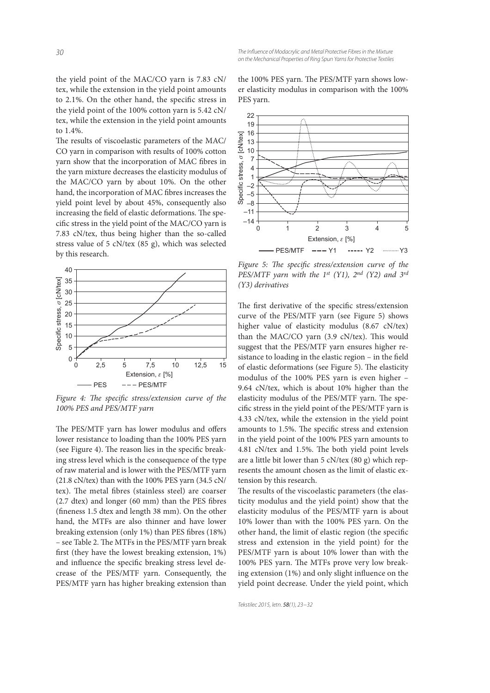the yield point of the MAC/CO yarn is 7.83 cN/ tex, while the extension in the yield point amounts to 2.1%. On the other hand, the specific stress in the yield point of the 100% cotton yarn is 5.42 cN/ tex, while the extension in the yield point amounts to 1.4%.

The results of viscoelastic parameters of the MAC/ CO yarn in comparison with results of 100% cotton yarn show that the incorporation of MAC fibres in the yarn mixture decreases the elasticity modulus of the MAC/CO yarn by about 10%. On the other hand, the incorporation of MAC fibres increases the yield point level by about 45%, consequently also increasing the field of elastic deformations. The specific stress in the yield point of the MAC/CO yarn is 7.83 cN/tex, thus being higher than the so-called stress value of 5 cN/tex (85 g), which was selected by this research.



Figure 4: The specific stress/extension curve of the 100% PES and PES/MTF yarn

The PES/MTF yarn has lower modulus and offers lower resistance to loading than the 100% PES yarn (see Figure 4). The reason lies in the specific breaking stress level which is the consequence of the type of raw material and is lower with the PES/MTF yarn (21.8 cN/tex) than with the 100% PES yarn (34.5 cN/ tex). The metal fibres (stainless steel) are coarser  $(2.7$  dtex) and longer  $(60 \text{ mm})$  than the PES fibres (fineness 1.5 dtex and length 38 mm). On the other hand, the MTFs are also thinner and have lower breaking extension (only 1%) than PES fibres (18%) – see Table 2. The MTFs in the PES/MTF yarn break first (they have the lowest breaking extension, 1%) and influence the specific breaking stress level decrease of the PES/MTF yarn. Consequently, the PES/MTF yarn has higher breaking extension than

the 100% PES yarn. The PES/MTF yarn shows lower elasticity modulus in comparison with the 100% PES yarn.



Figure 5: The specific stress/extension curve of the PES/MTF yarn with the 1st (Y1),  $2^{nd}$  (Y2) and  $3^{rd}$ (Y3) derivatives

The first derivative of the specific stress/extension curve of the PES/MTF yarn (see Figure 5) shows higher value of elasticity modulus (8.67 cN/tex) than the MAC/CO yarn (3.9 cN/tex). This would suggest that the PES/MTF yarn ensures higher resistance to loading in the elastic region  $-$  in the field of elastic deformations (see Figure 5). The elasticity modulus of the 100% PES yarn is even higher – 9.64 cN/tex, which is about 10% higher than the elasticity modulus of the PES/MTF yarn. The specific stress in the yield point of the PES/MTF yarn is 4.33 cN/tex, while the extension in the yield point amounts to 1.5%. The specific stress and extension in the yield point of the 100% PES yarn amounts to 4.81 cN/tex and 1.5%. The both yield point levels are a little bit lower than 5 cN/tex (80 g) which represents the amount chosen as the limit of elastic extension by this research.

The results of the viscoelastic parameters (the elasticity modulus and the yield point) show that the elasticity modulus of the PES/MTF yarn is about 10% lower than with the 100% PES yarn. On the other hand, the limit of elastic region (the specific stress and extension in the yield point) for the PES/MTF yarn is about 10% lower than with the 100% PES yarn. The MTFs prove very low breaking extension  $(1%)$  and only slight influence on the yield point decrease. Under the yield point, which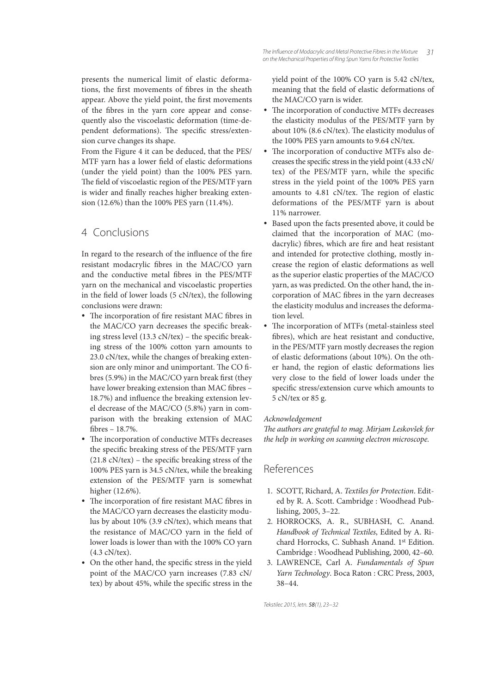presents the numerical limit of elastic deformations, the first movements of fibres in the sheath appear. Above the yield point, the first movements of the fibres in the yarn core appear and consequently also the viscoelastic deformation (time-dependent deformations). The specific stress/extension curve changes its shape.

From the Figure 4 it can be deduced, that the PES/ MTF yarn has a lower field of elastic deformations (under the yield point) than the 100% PES yarn. The field of viscoelastic region of the PES/MTF yarn is wider and finally reaches higher breaking extension (12.6%) than the 100% PES yarn (11.4%).

# 4 Conclusions

In regard to the research of the influence of the fire resistant modacrylic fibres in the MAC/CO yarn and the conductive metal fibres in the PES/MTF yarn on the mechanical and viscoelastic properties in the field of lower loads (5  $cN/text)$ , the following conclusions were drawn:

- The incorporation of fire resistant MAC fibres in the MAC/CO yarn decreases the specific breaking stress level  $(13.3 \text{ cN/tex})$  – the specific breaking stress of the 100% cotton yarn amounts to 23.0 cN/tex, while the changes of breaking extension are only minor and unimportant. The CO fibres (5.9%) in the MAC/CO yarn break first (they have lower breaking extension than MAC fibres -18.7%) and influence the breaking extension level decrease of the MAC/CO (5.8%) yarn in comparison with the breaking extension of MAC bres – 18.7%.
- The incorporation of conductive MTFs decreases the specific breaking stress of the PES/MTF yarn  $(21.8 \text{ cN/tex})$  – the specific breaking stress of the 100% PES yarn is 34.5 cN/tex, while the breaking extension of the PES/MTF yarn is somewhat higher (12.6%).
- The incorporation of fire resistant MAC fibres in the MAC/CO yarn decreases the elasticity modulus by about 10% (3.9 cN/tex), which means that the resistance of MAC/CO yarn in the field of lower loads is lower than with the 100% CO yarn (4.3 cN/tex).
- On the other hand, the specific stress in the yield point of the MAC/CO yarn increases (7.83 cN/ tex) by about 45%, while the specific stress in the

yield point of the 100% CO yarn is 5.42 cN/tex, meaning that the field of elastic deformations of the MAC/CO yarn is wider.

- The incorporation of conductive MTFs decreases the elasticity modulus of the PES/MTF yarn by about 10% (8.6 cN/tex). The elasticity modulus of the 100% PES yarn amounts to 9.64 cN/tex.
- The incorporation of conductive MTFs also decreases the specific stress in the yield point (4.33 cN/ tex) of the PES/MTF yarn, while the specific stress in the yield point of the 100% PES yarn amounts to 4.81 cN/tex. The region of elastic deformations of the PES/MTF yarn is about 11% narrower.
- Based upon the facts presented above, it could be claimed that the incorporation of MAC (modacrylic) fibres, which are fire and heat resistant and intended for protective clothing, mostly increase the region of elastic deformations as well as the superior elastic properties of the MAC/CO yarn, as was predicted. On the other hand, the incorporation of MAC fibres in the yarn decreases the elasticity modulus and increases the deformation level.
- The incorporation of MTFs (metal-stainless steel bres), which are heat resistant and conductive, in the PES/MTF yarn mostly decreases the region of elastic deformations (about 10%). On the other hand, the region of elastic deformations lies very close to the field of lower loads under the specific stress/extension curve which amounts to 5 cN/tex or 85 g.

#### Acknowledgement

The authors are grateful to mag. Mirjam Leskovšek for the help in working on scanning electron microscope.

# References

- 1. SCOTT, Richard, A. Textiles for Protection. Edited by R. A. Scott. Cambridge : Woodhead Publishing, 2005, 3–22.
- 2. HORROCKS, A. R., SUBHASH, C. Anand. Handbook of Technical Textiles, Edited by A. Richard Horrocks, C. Subhash Anand. 1st Edition. Cambridge : Woodhead Publishing, 2000, 42–60.
- 3. LAWRENCE, Carl A. Fundamentals of Spun Yarn Technology. Boca Raton : CRC Press, 2003, 38–44.